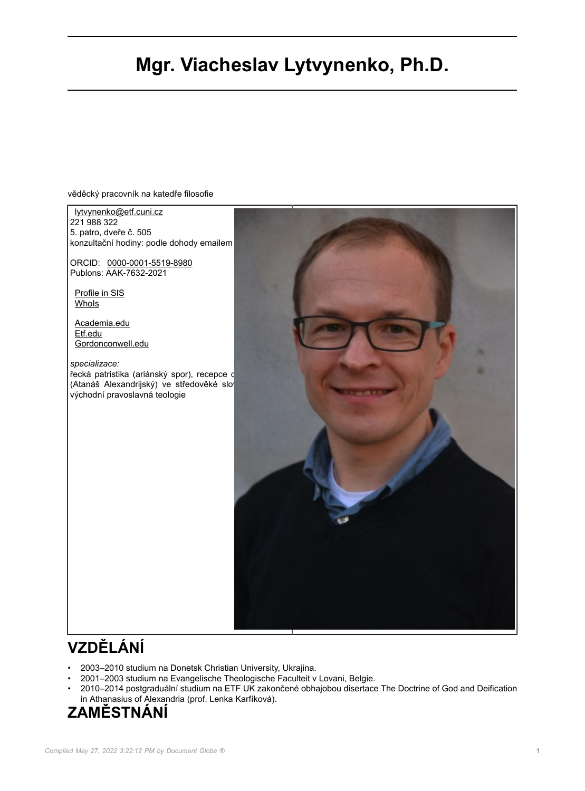# **Mgr. Viacheslav Lytvynenko, Ph.D.**

věděcký pracovník na katedře filosofie

[lytvynenko@etf.cuni.cz](mailto:lytvynenko@etf.cuni.cz) 221 988 322 5. patro, dveře č. 505 konzultační hodiny: podle dohody emailem ORCID: [0000-0001-5519-8980](https://orcid.org/0000-0001-5519-8980) Publons: AAK-7632-2021 [Profile in SIS](https://is.cuni.cz/studium/predmety/index.php?do=ucit&kod=02301) [WhoIs](https://is.cuni.cz/webapps/id/1384101567796699/) [Academia.edu](https://cuni.academia.edu/LytvynenkoVyacheslav) [Etf.edu](https://www.etf.edu/en/staff/viacheslav-v-lytvynenko/) [Gordonconwell.edu](https://www.gordonconwell.edu/faculty/adjunct/viacheslav-v-lytvynenko/) *specializace:* řecká patristika (ariánský spor), recepce c (Atanáš Alexandrijský) ve středověké slov východní pravoslavná teologie

# **VZDĚLÁNÍ**

- 2003–2010 studium na Donetsk Christian University, Ukrajina.
- 2001–2003 studium na Evangelische Theologische Faculteit v Lovani, Belgie.<br>• 2010–2014 postgraduální studium na ETE UK zakončené obhajobou disertace
- 2010–2014 postgraduální studium na ETF UK zakončené obhajobou disertace The Doctrine of God and Deification in Athanasius of Alexandria (prof. Lenka Karfíková).

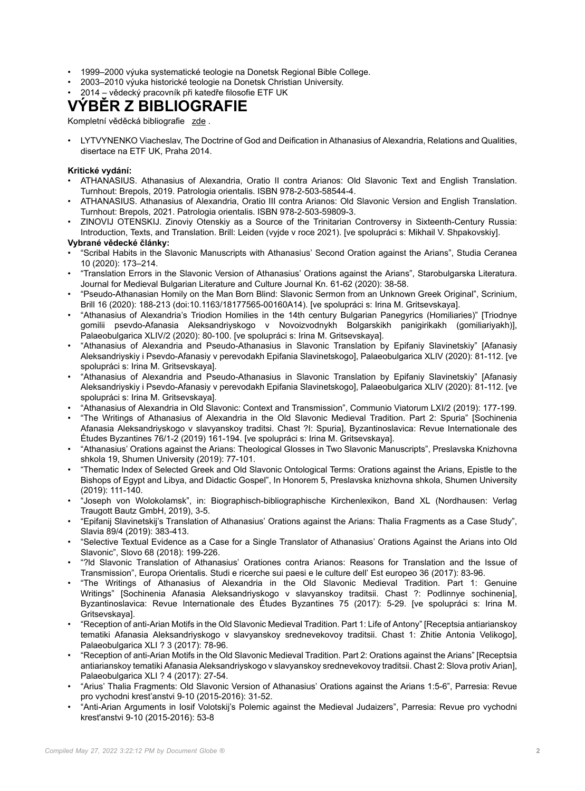- 1999–2000 výuka systematické teologie na Donetsk Regional Bible College.
- 2003–2010 výuka historické teologie na Donetsk Christian University.
- 2014 vědecký pracovník při katedře filosofie ETF UK

## **VÝBĚR Z BIBLIOGRAFIE**

Kompletní věděcká bibliografie [zde](https://verso.is.cuni.cz/pub/verso.fpl/_TS_/1634550882?__p_ob=&_fltrok=ok&_repok=&__cntext__=&xls_num=&fname=obd_public&_druh_filtru=0&p_pohled_id=&public_id=&obd_public_bez_hlavicky=1&barva=&font=&obd_public_bez_hlavicky_seznam=0&obd_public_bez_filtru=0&obd_public_bez_volby_filtru=1&obd_public_sirka_seznamu=&nabizet_kosik=1&nabizet_lupu=1&nabizet_export=1&zobrazit_paticku=0&filtrovano=1&f_toto_fin=0&f_filtrovat=1&v_lang_n=&pocet_zaznamu=&_report=0&__templ_max_pocet__=50&razeni_zaznamu=8&_autor_presny_text=0&_diakritika=0&_v_ozn_public=&_a_prijmeni=LYTVYNENKO&_a_jmeno=&_autor_org_podriz=&lov_value__autor_org_podriz=--+nevybr%C3%A1no+--&_a_cis=&lov_value__a_cis=--+nevybr%C3%A1no+--&f_osoba_identif=&f_g_gra=&_v_spe=&vrdropinput2=--+nevybr%C3%A1no+--&_v_rok=&_v_naz=&f_v_tit=&vrdropinput3=--+nevybr%C3%A1no+--&_v_riv_cislo_s=&filtr=Odeslat&__idf=01C963922FF911ECAEE090ECC4F1883F).

• LYTVYNENKO Viacheslav, The Doctrine of God and Deification in Athanasius of Alexandria, Relations and Qualities, disertace na ETF UK, Praha 2014.

### **Kritické vydání:**

- ATHANASIUS. Athanasius of Alexandria, Oratio II contra Arianos: Old Slavonic Text and English Translation. Turnhout: Brepols, 2019. Patrologia orientalis. ISBN 978-2-503-58544-4.
- ATHANASIUS. Athanasius of Alexandria, Oratio III contra Arianos: Old Slavonic Version and English Translation. Turnhout: Brepols, 2021. Patrologia orientalis. ISBN 978-2-503-59809-3.
- ZINOVIJ OTENSKIJ. Zinoviy Otenskiy as a Source of the Trinitarian Controversy in Sixteenth-Century Russia: Introduction, Texts, and Translation. Brill: Leiden (vyjde v roce 2021). [ve spolupráci s: Mikhail V. Shpakovskiy].

## **Vybrané vědecké články:**

- "Scribal Habits in the Slavonic Manuscripts with Athanasius' Second Oration against the Arians", Studia Ceranea 10 (2020): 173–214.
- "Translation Errors in the Slavonic Version of Athanasius' Orations against the Arians", Starobulgarska Literatura. Journal for Medieval Bulgarian Literature and Culture Journal Kn. 61-62 (2020): 38-58.
- "Pseudo-Athanasian Homily on the Man Born Blind: Slavonic Sermon from an Unknown Greek Original", Scrinium, Brill 16 (2020): 188-213 (doi:10.1163/18177565-00160A14). [ve spolupráci s: Irina M. Gritsevskaya].
- "Athanasius of Alexandria's Triodion Homilies in the 14th century Bulgarian Panegyrics (Homiliaries)" [Triodnye gomilii psevdo-Afanasia Aleksandriyskogo v Novoizvodnykh Bolgarskikh panigirikakh (gomiliariyakh)], Palaeobulgarica XLIV/2 (2020): 80-100. [ve spolupráci s: Irina M. Gritsevskaya].
- "Athanasius of Alexandria and Pseudo-Athanasius in Slavonic Translation by Epifaniy Slavinetskiy" [Afanasiy Aleksandriyskiy i Psevdo-Afanasiy v perevodakh Epifania Slavinetskogo], Palaeobulgarica XLIV (2020): 81-112. [ve spolupráci s: Irina M. Gritsevskaya].
- "Athanasius of Alexandria and Pseudo-Athanasius in Slavonic Translation by Epifaniy Slavinetskiy" [Afanasiy Aleksandriyskiy i Psevdo-Afanasiy v perevodakh Epifania Slavinetskogo], Palaeobulgarica XLIV (2020): 81-112. [ve spolupráci s: Irina M. Gritsevskaya].
- "Athanasius of Alexandria in Old Slavonic: Context and Transmission", Communio Viatorum LXI/2 (2019): 177-199.
- "The Writings of Athanasius of Alexandria in the Old Slavonic Medieval Tradition. Part 2: Spuria" [Sochinenia Afanasia Aleksandriyskogo v slavyanskoy traditsi. Chast ?I: Spuria], Byzantinoslavica: Revue Internationale des Études Byzantines 76/1-2 (2019) 161-194. [ve spolupráci s: Irina M. Gritsevskaya].
- "Athanasius' Orations against the Arians: Theological Glosses in Two Slavonic Manuscripts", Preslavska Knizhovna shkola 19, Shumen University (2019): 77-101.
- "Thematic Index of Selected Greek and Old Slavonic Ontological Terms: Orations against the Arians, Epistle to the Bishops of Egypt and Libya, and Didactic Gospel", In Honorem 5, Preslavska knizhovna shkola, Shumen University (2019): 111-140.
- "Joseph von Wolokolamsk", in: Biographisch-bibliographische Kirchenlexikon, Band XL (Nordhausen: Verlag Traugott Bautz GmbH, 2019), 3-5.
- "Epifanij Slavinetskij's Translation of Athanasius' Orations against the Arians: Thalia Fragments as a Case Study", Slavia 89/4 (2019): 383-413.
- "Selective Textual Evidence as a Case for a Single Translator of Athanasius' Orations Against the Arians into Old Slavonic", Slovo 68 (2018): 199-226.
- "?ld Slavonic Translation of Athanasius' Orationes contra Arianos: Reasons for Translation and the Issue of Transmission", Europa Orientalis. Studi e ricerche sui paesi e le culture dell' Est europeo 36 (2017): 83-96.
- "The Writings of Athanasius of Alexandria in the Old Slavonic Medieval Tradition. Part 1: Genuine Writings" [Sochinenia Afanasia Aleksandriyskogo v slavyanskoy traditsii. Chast ?: Podlinnye sochinenia], Byzantinoslavica: Revue Internationale des Études Byzantines 75 (2017): 5-29. [ve spolupráci s: Irina M. Gritsevskaya].
- "Reception of anti-Arian Motifs in the Old Slavonic Medieval Tradition. Part 1: Life of Antony" [Receptsia antiarianskoy tematiki Afanasia Aleksandriyskogo v slavyanskoy srednevekovoy traditsii. Chast 1: Zhitie Antonia Velikogo], Palaeobulgarica XLI ? 3 (2017): 78-96.
- "Reception of anti-Arian Motifs in the Old Slavonic Medieval Tradition. Part 2: Orations against the Arians" [Receptsia antiarianskoy tematiki Afanasia Aleksandriyskogo v slavyanskoy srednevekovoy traditsii. Chast 2: Slova protiv Arian], Palaeobulgarica XLI ? 4 (2017): 27-54.
- "Arius' Thalia Fragments: Old Slavonic Version of Athanasius' Orations against the Arians 1:5-6", Parresia: Revue pro vychodni krest'anstvi 9-10 (2015-2016): 31-52.
- "Anti-Arian Arguments in Iosif Volotskij's Polemic against the Medieval Judaizers", Parresia: Revue pro vychodni krest'anstvi 9-10 (2015-2016): 53-8